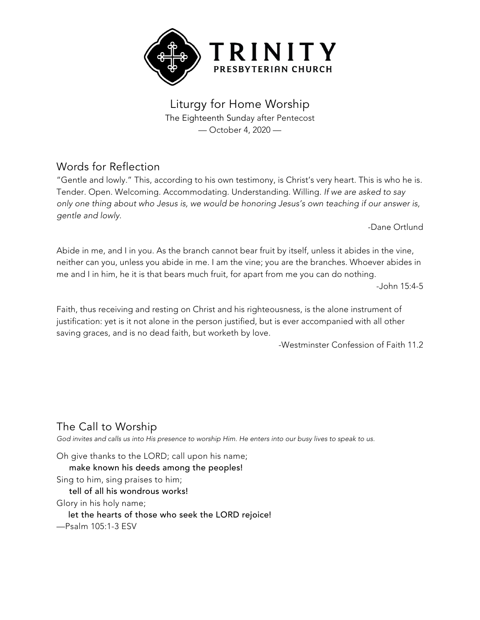

Liturgy for Home Worship The Eighteenth Sunday after Pentecost — October 4, 2020 —

## Words for Reflection

"Gentle and lowly." This, according to his own testimony, is Christ's very heart. This is who he is. Tender. Open. Welcoming. Accommodating. Understanding. Willing. *If we are asked to say only one thing about who Jesus is, we would be honoring Jesus's own teaching if our answer is, gentle and lowly*.

-Dane Ortlund

Abide in me, and I in you. As the branch cannot bear fruit by itself, unless it abides in the vine, neither can you, unless you abide in me. I am the vine; you are the branches. Whoever abides in me and I in him, he it is that bears much fruit, for apart from me you can do nothing.

-John 15:4-5

Faith, thus receiving and resting on Christ and his righteousness, is the alone instrument of justification: yet is it not alone in the person justified, but is ever accompanied with all other saving graces, and is no dead faith, but worketh by love.

-Westminster Confession of Faith 11.2

# The Call to Worship

God invites and calls us into His presence to worship Him. He enters into our busy lives to speak to us.

Oh give thanks to the LORD; call upon his name; make known his deeds among the peoples! Sing to him, sing praises to him; tell of all his wondrous works! Glory in his holy name; let the hearts of those who seek the LORD rejoice! —Psalm 105:1-3 ESV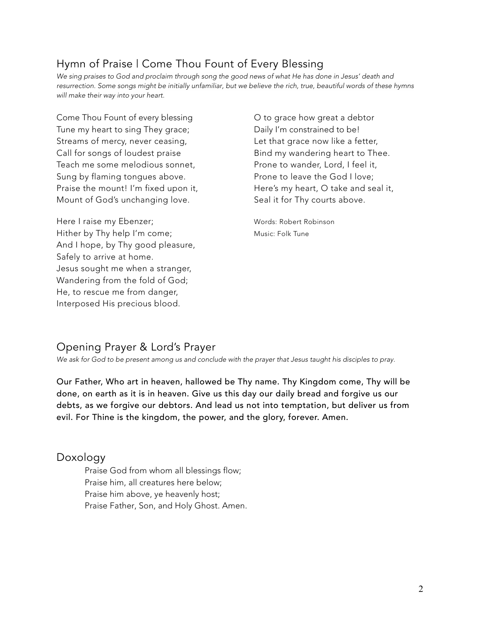# Hymn of Praise | Come Thou Fount of Every Blessing

We sing praises to God and proclaim through song the good news of what He has done in Jesus' death and resurrection. Some songs might be initially unfamiliar, but we believe the rich, true, beautiful words of these hymns *will make their way into your heart.*

Come Thou Fount of every blessing Tune my heart to sing They grace; Streams of mercy, never ceasing, Let that grace now like a fetter, Call for songs of loudest praise **Bind my wandering heart to Thee.** Teach me some melodious sonnet, Prone to wander, Lord, I feel it, Sung by flaming tongues above. The Prone to leave the God I love; Praise the mount! I'm fixed upon it, Here's my heart, O take and seal it, Mount of God's unchanging love. Seal it for Thy courts above.

Here I raise my Ebenzer; example and the Words: Robert Robinson Hither by Thy help I'm come; Music: Folk Tune And I hope, by Thy good pleasure, Safely to arrive at home. Jesus sought me when a stranger, Wandering from the fold of God; He, to rescue me from danger, Interposed His precious blood.

O to grace how great a debtor Daily I'm constrained to be!

### Opening Prayer & Lord's Prayer

*We ask for God to be present among us and conclude with the prayer that Jesus taught his disciples to pray.*

Our Father, Who art in heaven, hallowed be Thy name. Thy Kingdom come, Thy will be done, on earth as it is in heaven. Give us this day our daily bread and forgive us our debts, as we forgive our debtors. And lead us not into temptation, but deliver us from evil. For Thine is the kingdom, the power, and the glory, forever. Amen.

#### Doxology

Praise God from whom all blessings flow; Praise him, all creatures here below; Praise him above, ye heavenly host; Praise Father, Son, and Holy Ghost. Amen.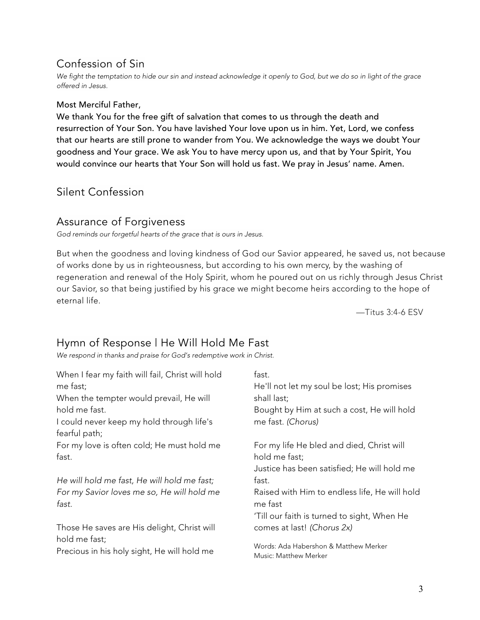## Confession of Sin

We fight the temptation to hide our sin and instead acknowledge it openly to God, but we do so in light of the grace *offered in Jesus.*

#### Most Merciful Father,

We thank You for the free gift of salvation that comes to us through the death and resurrection of Your Son. You have lavished Your love upon us in him. Yet, Lord, we confess that our hearts are still prone to wander from You. We acknowledge the ways we doubt Your goodness and Your grace. We ask You to have mercy upon us, and that by Your Spirit, You would convince our hearts that Your Son will hold us fast. We pray in Jesus' name. Amen.

## Silent Confession

### Assurance of Forgiveness

*God reminds our forgetful hearts of the grace that is ours in Jesus.*

But when the goodness and loving kindness of God our Savior appeared, he saved us, not because of works done by us in righteousness, but according to his own mercy, by the washing of regeneration and renewal of the Holy Spirit, whom he poured out on us richly through Jesus Christ our Savior, so that being justified by his grace we might become heirs according to the hope of eternal life.

—Titus 3:4-6 ESV

## Hymn of Response | He Will Hold Me Fast

*We respond in thanks and praise for God's redemptive work in Christ.*

| When I fear my faith will fail, Christ will hold<br>me fast;<br>When the tempter would prevail, He will | fast.<br>He'll not let my soul be lost; His promises<br>shall last;                                       |
|---------------------------------------------------------------------------------------------------------|-----------------------------------------------------------------------------------------------------------|
| hold me fast.<br>I could never keep my hold through life's<br>fearful path;                             | Bought by Him at such a cost, He will hold<br>me fast. (Chorus)                                           |
| For my love is often cold; He must hold me<br>fast.                                                     | For my life He bled and died, Christ will<br>hold me fast;<br>Justice has been satisfied; He will hold me |
| He will hold me fast, He will hold me fast;                                                             | fast.                                                                                                     |
| For my Savior loves me so, He will hold me<br>fast.                                                     | Raised with Him to endless life, He will hold<br>me fast<br>'Till our faith is turned to sight, When He   |
| Those He saves are His delight, Christ will                                                             | comes at last! (Chorus 2x)                                                                                |
| hold me fast;<br>Precious in his holy sight, He will hold me                                            | Words: Ada Habershon & Matthew Merker<br>Music: Matthew Merker                                            |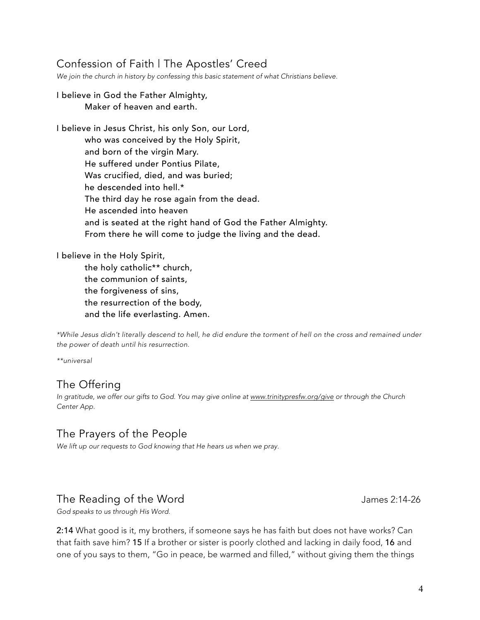## Confession of Faith | The Apostles' Creed

*We join the church in history by confessing this basic statement of what Christians believe.*

#### I believe in God the Father Almighty, Maker of heaven and earth.

I believe in Jesus Christ, his only Son, our Lord, who was conceived by the Holy Spirit, and born of the virgin Mary. He suffered under Pontius Pilate, Was crucified, died, and was buried; he descended into hell.\* The third day he rose again from the dead. He ascended into heaven and is seated at the right hand of God the Father Almighty. From there he will come to judge the living and the dead.

I believe in the Holy Spirit,

the holy catholic\*\* church, the communion of saints, the forgiveness of sins, the resurrection of the body, and the life everlasting. Amen.

\*While Jesus didn't literally descend to hell, he did endure the torment of hell on the cross and remained under *the power of death until his resurrection.*

*\*\*universal*

## The Offering

*In gratitude, we offer our gifts to God. You may give online at www.trinitypresfw.org/give or through the Church Center App.*

## The Prayers of the People

*We lift up our requests to God knowing that He hears us when we pray.*

## The Reading of the Word The The Reading of the Word James 2:14-26

*God speaks to us through His Word.*

2:14 What good is it, my brothers, if someone says he has faith but does not have works? Can that faith save him? 15 If a brother or sister is poorly clothed and lacking in daily food, 16 and one of you says to them, "Go in peace, be warmed and filled," without giving them the things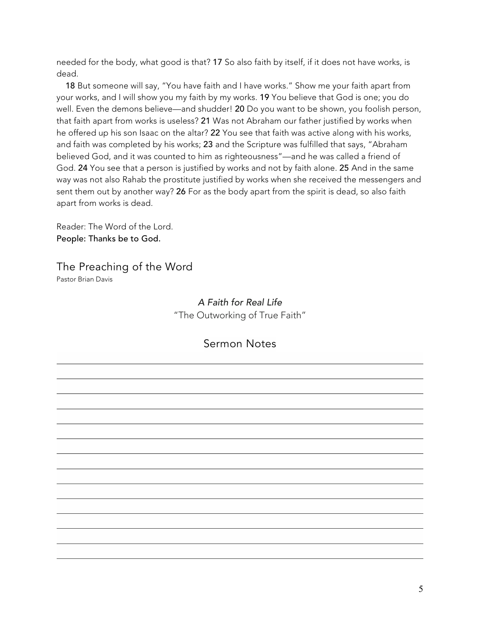needed for the body, what good is that? 17 So also faith by itself, if it does not have works, is dead.

 18 But someone will say, "You have faith and I have works." Show me your faith apart from your works, and I will show you my faith by my works. 19 You believe that God is one; you do well. Even the demons believe—and shudder! 20 Do you want to be shown, you foolish person, that faith apart from works is useless? 21 Was not Abraham our father justified by works when he offered up his son Isaac on the altar? 22 You see that faith was active along with his works, and faith was completed by his works; 23 and the Scripture was fulfilled that says, "Abraham believed God, and it was counted to him as righteousness"—and he was called a friend of God. 24 You see that a person is justified by works and not by faith alone. 25 And in the same way was not also Rahab the prostitute justified by works when she received the messengers and sent them out by another way? 26 For as the body apart from the spirit is dead, so also faith apart from works is dead.

Reader: The Word of the Lord. People: Thanks be to God.

The Preaching of the Word Pastor Brian Davis

> *A Faith for Real Life* "The Outworking of True Faith"

### Sermon Notes

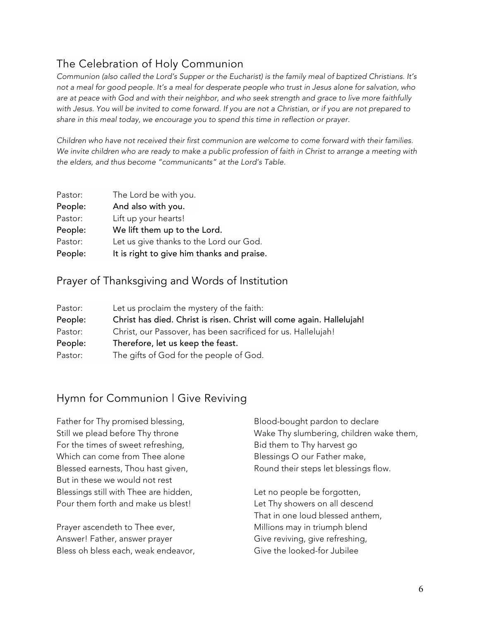# The Celebration of Holy Communion

Communion (also called the Lord's Supper or the Eucharist) is the family meal of baptized Christians. It's not a meal for good people. It's a meal for desperate people who trust in Jesus alone for salvation, who are at peace with God and with their neighbor, and who seek strength and grace to live more faithfully with Jesus. You will be invited to come forward. If you are not a Christian, or if you are not prepared to *share in this meal today, we encourage you to spend this time in reflection or prayer.*

*Children who have not received their first communion are welcome to come forward with their families.* We invite children who are ready to make a public profession of faith in Christ to arrange a meeting with *the elders, and thus become "communicants" at the Lord's Table.*

| Pastor: | The Lord be with you.                      |
|---------|--------------------------------------------|
| People: | And also with you.                         |
| Pastor: | Lift up your hearts!                       |
| People: | We lift them up to the Lord.               |
| Pastor: | Let us give thanks to the Lord our God.    |
| People: | It is right to give him thanks and praise. |

### Prayer of Thanksgiving and Words of Institution

| Pastor: | Let us proclaim the mystery of the faith:                             |
|---------|-----------------------------------------------------------------------|
| People: | Christ has died. Christ is risen. Christ will come again. Hallelujah! |
| Pastor: | Christ, our Passover, has been sacrificed for us. Hallelujah!         |
| People: | Therefore, let us keep the feast.                                     |
| Pastor: | The gifts of God for the people of God.                               |

## Hymn for Communion | Give Reviving

Father for Thy promised blessing, Still we plead before Thy throne For the times of sweet refreshing, Which can come from Thee alone Blessed earnests, Thou hast given, But in these we would not rest Blessings still with Thee are hidden, Pour them forth and make us blest!

Prayer ascendeth to Thee ever, Answer! Father, answer prayer Bless oh bless each, weak endeavor, Blood-bought pardon to declare Wake Thy slumbering, children wake them, Bid them to Thy harvest go Blessings O our Father make, Round their steps let blessings flow.

Let no people be forgotten, Let Thy showers on all descend That in one loud blessed anthem, Millions may in triumph blend Give reviving, give refreshing, Give the looked-for Jubilee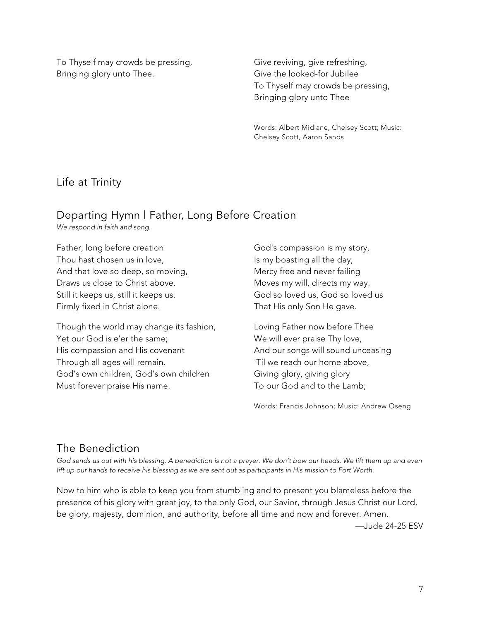To Thyself may crowds be pressing, Bringing glory unto Thee.

Give reviving, give refreshing, Give the looked-for Jubilee To Thyself may crowds be pressing, Bringing glory unto Thee

Words: Albert Midlane, Chelsey Scott; Music: Chelsey Scott, Aaron Sands

### Life at Trinity

### Departing Hymn | Father, Long Before Creation

*We respond in faith and song.*

Father, long before creation Thou hast chosen us in love, And that love so deep, so moving, Draws us close to Christ above. Still it keeps us, still it keeps us. Firmly fixed in Christ alone.

Though the world may change its fashion, Yet our God is e'er the same; His compassion and His covenant Through all ages will remain. God's own children, God's own children Must forever praise His name.

God's compassion is my story, Is my boasting all the day; Mercy free and never failing Moves my will, directs my way. God so loved us, God so loved us That His only Son He gave.

Loving Father now before Thee We will ever praise Thy love, And our songs will sound unceasing 'Til we reach our home above, Giving glory, giving glory To our God and to the Lamb;

Words: Francis Johnson; Music: Andrew Oseng

### The Benediction

God sends us out with his blessing. A benediction is not a prayer. We don't bow our heads. We lift them up and even lift up our hands to receive his blessing as we are sent out as participants in His mission to Fort Worth.

Now to him who is able to keep you from stumbling and to present you blameless before the presence of his glory with great joy, to the only God, our Savior, through Jesus Christ our Lord, be glory, majesty, dominion, and authority, before all time and now and forever. Amen.

—Jude 24-25 ESV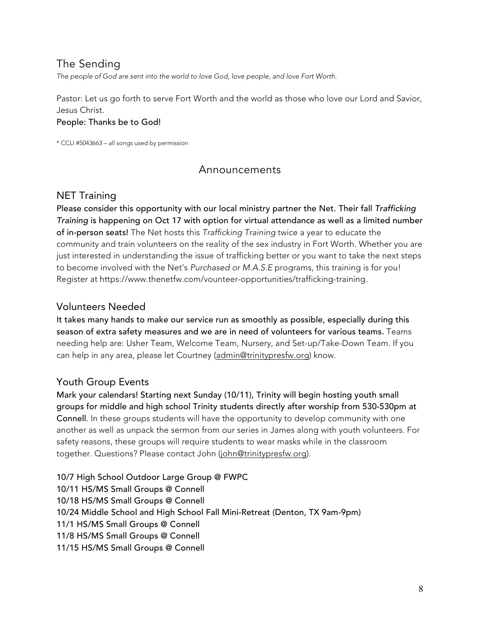## The Sending

*The people of God are sent into the world to love God, love people, and love Fort Worth.*

Pastor: Let us go forth to serve Fort Worth and the world as those who love our Lord and Savior, Jesus Christ.

#### People: Thanks be to God!

\* CCLI #5043663 – all songs used by permission

### Announcements

#### NET Training

Please consider this opportunity with our local ministry partner the Net. Their fall *Trafficking Training* is happening on Oct 17 with option for virtual attendance as well as a limited number of in-person seats! The Net hosts this *Trafficking Training* twice a year to educate the community and train volunteers on the reality of the sex industry in Fort Worth. Whether you are just interested in understanding the issue of trafficking better or you want to take the next steps to become involved with the Net's *Purchased or M.A.S.E* programs, this training is for you! Register at https://www.thenetfw.com/vounteer-opportunities/trafficking-training.

### Volunteers Needed

It takes many hands to make our service run as smoothly as possible, especially during this season of extra safety measures and we are in need of volunteers for various teams. Teams needing help are: Usher Team, Welcome Team, Nursery, and Set-up/Take-Down Team. If you can help in any area, please let Courtney (admin@trinitypresfw.org) know.

## Youth Group Events

Mark your calendars! Starting next Sunday (10/11), Trinity will begin hosting youth small groups for middle and high school Trinity students directly after worship from 530-530pm at Connell. In these groups students will have the opportunity to develop community with one another as well as unpack the sermon from our series in James along with youth volunteers. For safety reasons, these groups will require students to wear masks while in the classroom together. Questions? Please contact John (john@trinitypresfw.org).

10/7 High School Outdoor Large Group @ FWPC 10/11 HS/MS Small Groups @ Connell 10/18 HS/MS Small Groups @ Connell 10/24 Middle School and High School Fall Mini-Retreat (Denton, TX 9am-9pm) 11/1 HS/MS Small Groups @ Connell 11/8 HS/MS Small Groups @ Connell 11/15 HS/MS Small Groups @ Connell